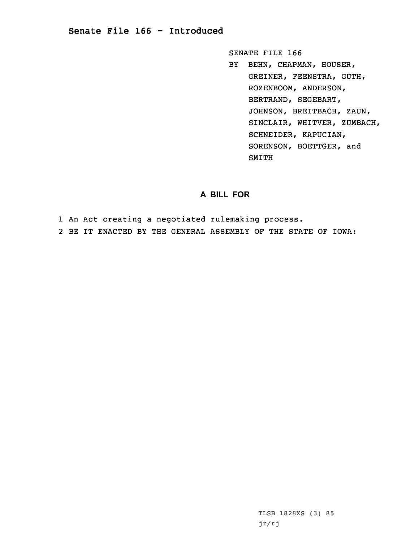## **Senate File 166 - Introduced**

SENATE FILE 166

BY BEHN, CHAPMAN, HOUSER, GREINER, FEENSTRA, GUTH, ROZENBOOM, ANDERSON, BERTRAND, SEGEBART, JOHNSON, BREITBACH, ZAUN, SINCLAIR, WHITVER, ZUMBACH, SCHNEIDER, KAPUCIAN, SORENSON, BOETTGER, and SMITH

## **A BILL FOR**

1 An Act creating <sup>a</sup> negotiated rulemaking process.

2 BE IT ENACTED BY THE GENERAL ASSEMBLY OF THE STATE OF IOWA:

TLSB 1828XS (3) 85 jr/rj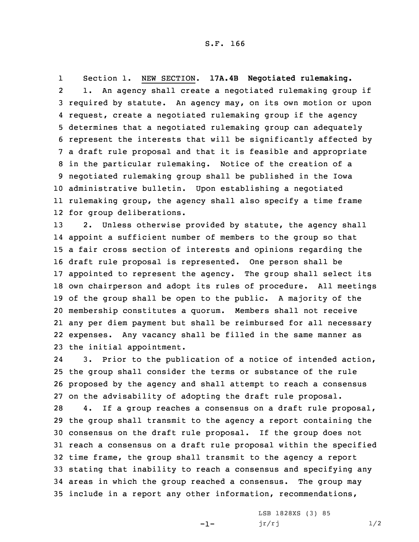1 Section 1. NEW SECTION. **17A.4B Negotiated rulemaking.** 2 1. An agency shall create <sup>a</sup> negotiated rulemaking group if required by statute. An agency may, on its own motion or upon request, create <sup>a</sup> negotiated rulemaking group if the agency determines that <sup>a</sup> negotiated rulemaking group can adequately represent the interests that will be significantly affected by <sup>a</sup> draft rule proposal and that it is feasible and appropriate in the particular rulemaking. Notice of the creation of <sup>a</sup> negotiated rulemaking group shall be published in the Iowa administrative bulletin. Upon establishing <sup>a</sup> negotiated rulemaking group, the agency shall also specify <sup>a</sup> time frame for group deliberations.

13 2. Unless otherwise provided by statute, the agency shall appoint <sup>a</sup> sufficient number of members to the group so that <sup>a</sup> fair cross section of interests and opinions regarding the draft rule proposal is represented. One person shall be appointed to represent the agency. The group shall select its own chairperson and adopt its rules of procedure. All meetings of the group shall be open to the public. <sup>A</sup> majority of the membership constitutes <sup>a</sup> quorum. Members shall not receive any per diem payment but shall be reimbursed for all necessary expenses. Any vacancy shall be filled in the same manner as the initial appointment.

24 3. Prior to the publication of <sup>a</sup> notice of intended action, 25 the group shall consider the terms or substance of the rule 26 proposed by the agency and shall attempt to reach <sup>a</sup> consensus 27 on the advisability of adopting the draft rule proposal.

 4. If <sup>a</sup> group reaches <sup>a</sup> consensus on <sup>a</sup> draft rule proposal, the group shall transmit to the agency <sup>a</sup> report containing the consensus on the draft rule proposal. If the group does not reach <sup>a</sup> consensus on <sup>a</sup> draft rule proposal within the specified time frame, the group shall transmit to the agency <sup>a</sup> report stating that inability to reach <sup>a</sup> consensus and specifying any areas in which the group reached <sup>a</sup> consensus. The group may include in <sup>a</sup> report any other information, recommendations,

-1-

LSB 1828XS (3) 85  $jr/rj$  1/2